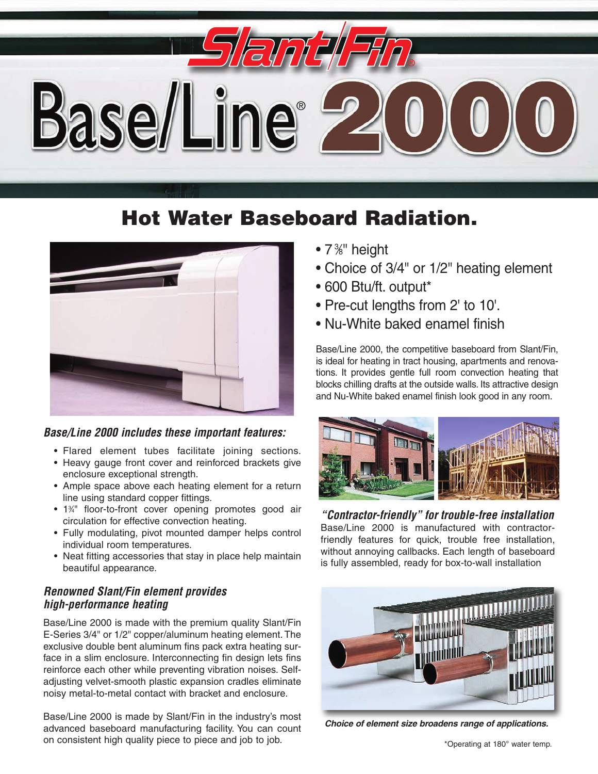

## **Hot Water Baseboard Radiation.**



#### *Base/Line 2000 includes these important features:*

- Flared element tubes facilitate joining sections.
- Heavy gauge front cover and reinforced brackets give enclosure exceptional strength.
- Ample space above each heating element for a return line using standard copper fittings.
- 1<sup>3/4</sup> floor-to-front cover opening promotes good air circulation for effective convection heating.
- Fully modulating, pivot mounted damper helps control individual room temperatures.
- Neat fitting accessories that stay in place help maintain beautiful appearance.

#### *Renowned Slant/Fin element provides high-performance heating*

Base/Line 2000 is made with the premium quality Slant/Fin E-Series 3/4" or 1/2" copper/aluminum heating element. The exclusive double bent aluminum fins pack extra heating surface in a slim enclosure. Interconnecting fin design lets fins reinforce each other while preventing vibration noises. Selfadjusting velvet-smooth plastic expansion cradles eliminate noisy metal-to-metal contact with bracket and enclosure.

Base/Line 2000 is made by Slant/Fin in the industry's most advanced baseboard manufacturing facility. You can count on consistent high quality piece to piece and job to job.

- 7<sup>3</sup>%" height
- Choice of 3/4" or 1/2" heating element
- 600 Btu/ft. output\*
- Pre-cut lengths from 2' to 10'.
- Nu-White baked enamel finish

Base/Line 2000, the competitive baseboard from Slant/Fin, is ideal for heating in tract housing, apartments and renovations. It provides gentle full room convection heating that blocks chilling drafts at the outside walls. Its attractive design and Nu-White baked enamel finish look good in any room.



*"Contractor-friendly" for trouble-free installation* Base/Line 2000 is manufactured with contractorfriendly features for quick, trouble free installation, without annoying callbacks. Each length of baseboard is fully assembled, ready for box-to-wall installation



*Choice of element size broadens range of applications.*